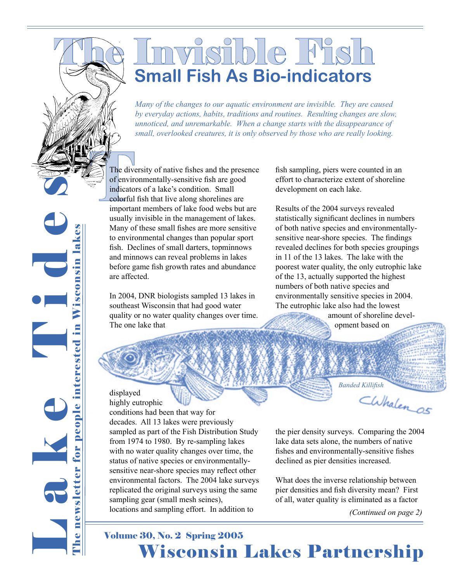## visible Fish **Small Fish As Bio-indicators**

*Many of the changes to our aquatic environment are invisible. They are caused by everyday actions, habits, traditions and routines. Resulting changes are slow, unnoticed, and unremarkable. When a change starts with the disappearance of small, overlooked creatures, it is only observed by those who are really looking.*

The diversion of the diversion of the diversion of the diversion of the diversion of the diversion of the diversion of the diversion of the diversion of the diversion of the diversion of the diversion of the diversion of t The diversity of native fishes and the presence of environmentally-sensitive fish are good indicators of a lake's condition. Small colorful fish that live along shorelines are important members of lake food webs but are usually invisible in the management of lakes. Many of these small fishes are more sensitive to environmental changes than popular sport fish. Declines of small darters, topminnows and minnows can reveal problems in lakes before game fish growth rates and abundance are affected.

> In 2004, DNR biologists sampled 13 lakes in southeast Wisconsin that had good water quality or no water quality changes over time. The one lake that

fish sampling, piers were counted in an effort to characterize extent of shoreline development on each lake.

Results of the 2004 surveys revealed statistically significant declines in numbers of both native species and environmentallysensitive near-shore species. The findings revealed declines for both species groupings in 11 of the 13 lakes. The lake with the poorest water quality, the only eutrophic lake of the 13, actually supported the highest numbers of both native species and environmentally sensitive species in 2004. The eutrophic lake also had the lowest

> amount of shoreline development based on

*Banded Killifish*

displayed highly eutrophic

L a k e T i d e s

The newsletter for people interested in Wisconsin lakes

e

newsletter for people interested in Wisconsin lakes

conditions had been that way for decades. All 13 lakes were previously sampled as part of the Fish Distribution Study from 1974 to 1980. By re-sampling lakes with no water quality changes over time, the status of native species or environmentallysensitive near-shore species may reflect other environmental factors. The 2004 lake surveys replicated the original surveys using the same sampling gear (small mesh seines), locations and sampling effort. In addition to

the pier density surveys. Comparing the 2004 lake data sets alone, the numbers of native fishes and environmentally-sensitive fishes declined as pier densities increased.

What does the inverse relationship between pier densities and fish diversity mean? First of all, water quality is eliminated as a factor

*(Continued on page 2)*

## **Wisconsin Lakes Partnership** Volume 30, No. 2 Spring 2005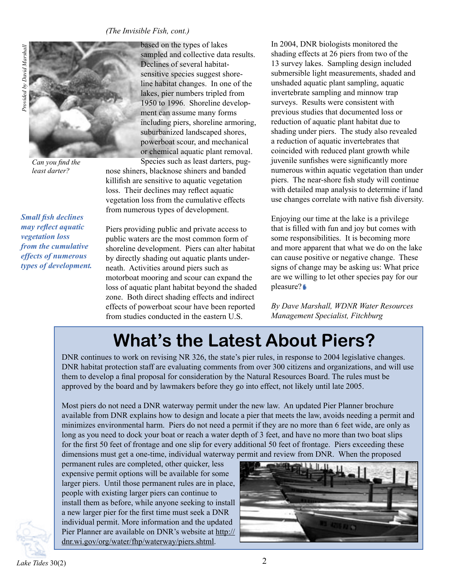#### *(The Invisible Fish, cont.)*





*Can you find the least darter?*

*Small fish declines may reflect aquatic vegetation loss from the cumulative effects of numerous types of development.* based on the types of lakes sampled and collective data results. Declines of several habitatsensitive species suggest shoreline habitat changes. In one of the lakes, pier numbers tripled from 1950 to 1996. Shoreline development can assume many forms including piers, shoreline armoring, suburbanized landscaped shores, powerboat scour, and mechanical or chemical aquatic plant removal. Species such as least darters, pug-

nose shiners, blacknose shiners and banded killifish are sensitive to aquatic vegetation loss. Their declines may reflect aquatic vegetation loss from the cumulative effects from numerous types of development.

Piers providing public and private access to public waters are the most common form of shoreline development. Piers can alter habitat by directly shading out aquatic plants underneath. Activities around piers such as motorboat mooring and scour can expand the loss of aquatic plant habitat beyond the shaded zone. Both direct shading effects and indirect effects of powerboat scour have been reported from studies conducted in the eastern U.S.

In 2004, DNR biologists monitored the shading effects at 26 piers from two of the 13 survey lakes. Sampling design included submersible light measurements, shaded and unshaded aquatic plant sampling, aquatic invertebrate sampling and minnow trap surveys. Results were consistent with previous studies that documented loss or reduction of aquatic plant habitat due to shading under piers. The study also revealed a reduction of aquatic invertebrates that coincided with reduced plant growth while juvenile sunfishes were significantly more numerous within aquatic vegetation than under piers. The near-shore fish study will continue with detailed map analysis to determine if land use changes correlate with native fish diversity.

Enjoying our time at the lake is a privilege that is filled with fun and joy but comes with some responsibilities. It is becoming more and more apparent that what we do on the lake can cause positive or negative change. These signs of change may be asking us: What price are we willing to let other species pay for our pleasure?

*By Dave Marshall, WDNR Water Resources Management Specialist, Fitchburg*

## **What's the Latest About Piers?**

DNR continues to work on revising NR 326, the state's pier rules, in response to 2004 legislative changes. DNR habitat protection staff are evaluating comments from over 300 citizens and organizations, and will use them to develop a final proposal for consideration by the Natural Resources Board. The rules must be approved by the board and by lawmakers before they go into effect, not likely until late 2005.

Most piers do not need a DNR waterway permit under the new law. An updated Pier Planner brochure available from DNR explains how to design and locate a pier that meets the law, avoids needing a permit and minimizes environmental harm. Piers do not need a permit if they are no more than 6 feet wide, are only as long as you need to dock your boat or reach a water depth of 3 feet, and have no more than two boat slips for the first 50 feet of frontage and one slip for every additional 50 feet of frontage. Piers exceeding these dimensions must get a one-time, individual waterway permit and review from DNR. When the proposed

permanent rules are completed, other quicker, less expensive permit options will be available for some larger piers. Until those permanent rules are in place, people with existing larger piers can continue to install them as before, while anyone seeking to install a new larger pier for the first time must seek a DNR individual permit. More information and the updated Pier Planner are available on DNR's website at http:// dnr.wi.gov/org/water/fhp/waterway/piers.shtml.

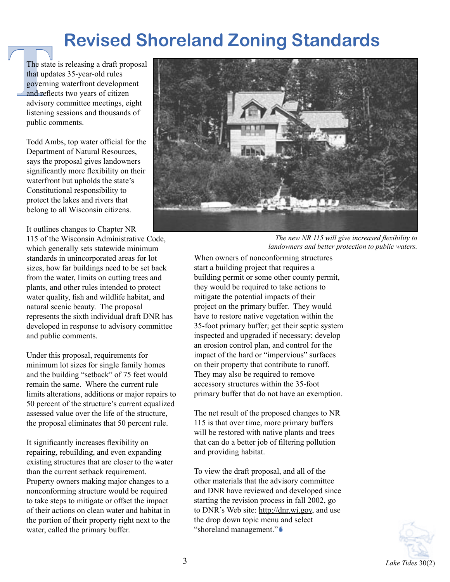## **Revised Shoreland Zoning Standards**

The state<br>that upda<br>governin<br>and refle<br>dvisory<br>listening The state is releasing a draft proposal that updates 35-year-old rules governing waterfront development and reflects two years of citizen advisory committee meetings, eight listening sessions and thousands of public comments.

> Todd Ambs, top water official for the Department of Natural Resources, says the proposal gives landowners significantly more flexibility on their waterfront but upholds the state's Constitutional responsibility to protect the lakes and rivers that belong to all Wisconsin citizens.

It outlines changes to Chapter NR

115 of the Wisconsin Administrative Code, which generally sets statewide minimum standards in unincorporated areas for lot sizes, how far buildings need to be set back from the water, limits on cutting trees and plants, and other rules intended to protect water quality, fish and wildlife habitat, and natural scenic beauty. The proposal represents the sixth individual draft DNR has developed in response to advisory committee and public comments.

Under this proposal, requirements for minimum lot sizes for single family homes and the building "setback" of 75 feet would remain the same. Where the current rule limits alterations, additions or major repairs to 50 percent of the structure's current equalized assessed value over the life of the structure, the proposal eliminates that 50 percent rule.

It significantly increases flexibility on repairing, rebuilding, and even expanding existing structures that are closer to the water than the current setback requirement. Property owners making major changes to a nonconforming structure would be required to take steps to mitigate or offset the impact of their actions on clean water and habitat in the portion of their property right next to the water, called the primary buffer.



*The new NR 115 will give increased flexibility to landowners and better protection to public waters.*

When owners of nonconforming structures start a building project that requires a building permit or some other county permit, they would be required to take actions to mitigate the potential impacts of their project on the primary buffer. They would have to restore native vegetation within the 35-foot primary buffer; get their septic system inspected and upgraded if necessary; develop an erosion control plan, and control for the impact of the hard or "impervious" surfaces on their property that contribute to runoff. They may also be required to remove accessory structures within the 35-foot primary buffer that do not have an exemption.

The net result of the proposed changes to NR 115 is that over time, more primary buffers will be restored with native plants and trees that can do a better job of filtering pollution and providing habitat.

To view the draft proposal, and all of the other materials that the advisory committee and DNR have reviewed and developed since starting the revision process in fall 2002, go to DNR's Web site: http://dnr.wi.gov, and use the drop down topic menu and select "shoreland management."

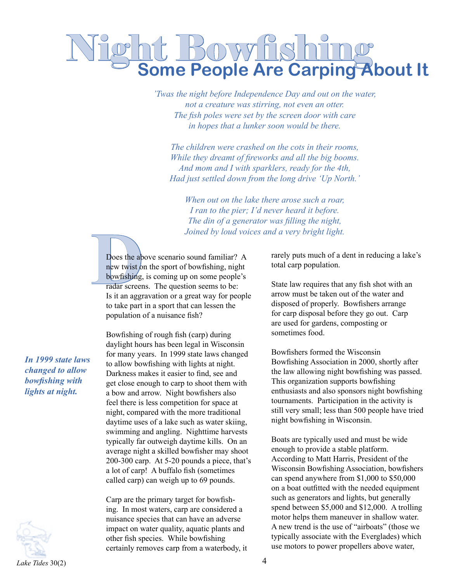# **Night Bowfishing<br>Some People Are Carping About It**

*'Twas the night before Independence Day and out on the water, not a creature was stirring, not even an otter. The fish poles were set by the screen door with care in hopes that a lunker soon would be there.* 

*The children were crashed on the cots in their rooms, While they dreamt of fireworks and all the big booms. And mom and I with sparklers, ready for the 4th, Had just settled down from the long drive 'Up North.'*

*When out on the lake there arose such a roar, I ran to the pier; I'd never heard it before. The din of a generator was filling the night, Joined by loud voices and a very bright light.*

Does the ab<br>
new twist of<br>
bowfishing,<br>
radar screen<br>
Is it an aggr Does the above scenario sound familiar? A new twist on the sport of bowfishing, night bowfishing, is coming up on some people's radar screens. The question seems to be: Is it an aggravation or a great way for people to take part in a sport that can lessen the population of a nuisance fish?

Bowfishing of rough fish (carp) during daylight hours has been legal in Wisconsin for many years. In 1999 state laws changed to allow bowfishing with lights at night. Darkness makes it easier to find, see and get close enough to carp to shoot them with a bow and arrow. Night bowfishers also feel there is less competition for space at night, compared with the more traditional daytime uses of a lake such as water skiing, swimming and angling. Nighttime harvests typically far outweigh daytime kills. On an average night a skilled bowfisher may shoot 200-300 carp. At 5-20 pounds a piece, that's a lot of carp! A buffalo fish (sometimes called carp) can weigh up to 69 pounds.

Carp are the primary target for bowfishing. In most waters, carp are considered a nuisance species that can have an adverse impact on water quality, aquatic plants and other fish species. While bowfishing certainly removes carp from a waterbody, it rarely puts much of a dent in reducing a lake's total carp population.

State law requires that any fish shot with an arrow must be taken out of the water and disposed of properly. Bowfishers arrange for carp disposal before they go out. Carp are used for gardens, composting or sometimes food.

Bowfishers formed the Wisconsin Bowfishing Association in 2000, shortly after the law allowing night bowfishing was passed. This organization supports bowfishing enthusiasts and also sponsors night bowfishing tournaments. Participation in the activity is still very small; less than 500 people have tried night bowfishing in Wisconsin.

Boats are typically used and must be wide enough to provide a stable platform. According to Matt Harris, President of the Wisconsin Bowfishing Association, bowfishers can spend anywhere from \$1,000 to \$50,000 on a boat outfitted with the needed equipment such as generators and lights, but generally spend between \$5,000 and \$12,000. A trolling motor helps them maneuver in shallow water. A new trend is the use of "airboats" (those we typically associate with the Everglades) which use motors to power propellers above water,

*In 1999 state laws changed to allow bowfishing with lights at night.*

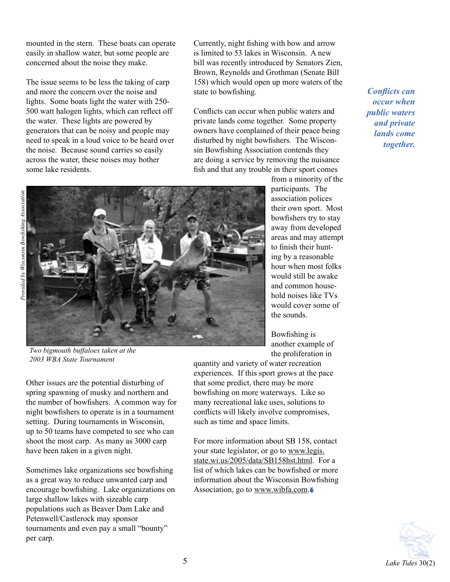mounted in the stern. These boats can operate easily in shallow water, but some people are concerned about the noise they make.

The issue seems to be less the taking of carp and more the concern over the noise and lights. Some boats light the water with 250- 500 watt halogen lights, which can reflect off the water. These lights are powered by generators that can be noisy and people may need to speak in a loud voice to be heard over the noise. Because sound carries so easily across the water, these noises may bother some lake residents.

Currently, night fishing with bow and arrow is limited to 53 lakes in Wisconsin. A new bill was recently introduced by Senators Zien, Brown, Reynolds and Grothman (Senate Bill 158) which would open up more waters of the state to bowfishing.

Conflicts can occur when public waters and private lands come together. Some property owners have complained of their peace being disturbed by night bowfishers. The Wisconsin Bowfishing Association contends they are doing a service by removing the nuisance fish and that any trouble in their sport comes

> from a minority of the participants. The association polices their own sport. Most bowfishers try to stay away from developed areas and may attempt to finish their hunting by a reasonable hour when most folks would still be awake and common household noises like TVs would cover some of the sounds.

Bowfishing is another example of the proliferation in

quantity and variety of water recreation experiences. If this sport grows at the pace

that some predict, there may be more bowfishing on more waterways. Like so many recreational lake uses, solutions to conflicts will likely involve compromises, such as time and space limits.

For more information about SB 158, contact your state legislator, or go to www.legis. state.wi.us/2005/data/SB158hst.html. For a list of which lakes can be bowfished or more information about the Wisconsin Bowfishing Association, go to www.wibfa.com.

*public waters and private lands come together.*

*Conflicts can occur when* 

*Two bigmouth buffaloes taken at the 2003 WBA State Tournament*

Other issues are the potential disturbing of spring spawning of musky and northern and the number of bowfishers. A common way for night bowfishers to operate is in a tournament setting. During tournaments in Wisconsin, up to 50 teams have competed to see who can shoot the most carp. As many as 3000 carp have been taken in a given night.

encourage bowfishing. Lake organizations on tournaments and even pay a small "bounty" per carp.

Sometimes lake organizations see bowfishing as a great way to reduce unwanted carp and large shallow lakes with sizeable carp populations such as Beaver Dam Lake and Petenwell/Castlerock may sponsor



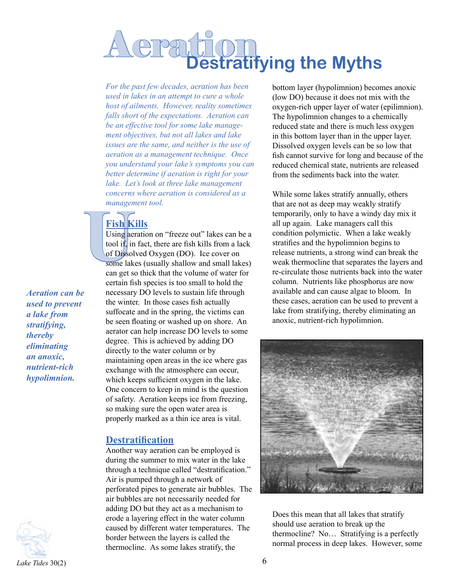# **Destratifying the Myths**

*For the past few decades, aeration has been used in lakes in an attempt to cure a whole host of ailments. However, reality sometimes falls short of the expectations. Aeration can be an effective tool for some lake management objectives, but not all lakes and lake issues are the same, and neither is the use of aeration as a management technique. Once you understand your lake's symptoms you can better determine if aeration is right for your lake. Let's look at three lake management concerns where aeration is considered as a management tool.* 

## **Fish Kills**

Fish K<br>Using aer<br>tool if, in<br>of Dissol<br>some lake<br>can get set Using aeration on "freeze out" lakes can be a tool if, in fact, there are fish kills from a lack of Dissolved Oxygen (DO). Ice cover on some lakes (usually shallow and small lakes) can get so thick that the volume of water for certain fish species is too small to hold the necessary DO levels to sustain life through the winter. In those cases fish actually suffocate and in the spring, the victims can be seen floating or washed up on shore. An aerator can help increase DO levels to some degree. This is achieved by adding DO directly to the water column or by maintaining open areas in the ice where gas exchange with the atmosphere can occur, which keeps sufficient oxygen in the lake. One concern to keep in mind is the question of safety. Aeration keeps ice from freezing, so making sure the open water area is properly marked as a thin ice area is vital.

#### **Destratification**

Another way aeration can be employed is during the summer to mix water in the lake through a technique called "destratification." Air is pumped through a network of perforated pipes to generate air bubbles. The air bubbles are not necessarily needed for adding DO but they act as a mechanism to erode a layering effect in the water column caused by different water temperatures. The border between the layers is called the thermocline. As some lakes stratify, the

bottom layer (hypolimnion) becomes anoxic (low DO) because it does not mix with the oxygen-rich upper layer of water (epilimnion). The hypolimnion changes to a chemically reduced state and there is much less oxygen in this bottom layer than in the upper layer. Dissolved oxygen levels can be so low that fish cannot survive for long and because of the reduced chemical state, nutrients are released from the sediments back into the water.

While some lakes stratify annually, others that are not as deep may weakly stratify temporarily, only to have a windy day mix it all up again. Lake managers call this condition polymictic. When a lake weakly stratifies and the hypolimnion begins to release nutrients, a strong wind can break the weak thermocline that separates the layers and re-circulate those nutrients back into the water column. Nutrients like phosphorus are now available and can cause algae to bloom. In these cases, aeration can be used to prevent a lake from stratifying, thereby eliminating an anoxic, nutrient-rich hypolimnion.



Does this mean that all lakes that stratify should use aeration to break up the thermocline? No… Stratifying is a perfectly normal process in deep lakes. However, some



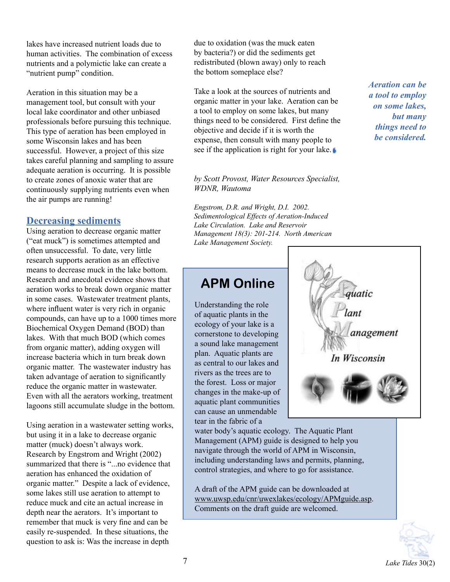lakes have increased nutrient loads due to human activities. The combination of excess nutrients and a polymictic lake can create a "nutrient pump" condition.

Aeration in this situation may be a management tool, but consult with your local lake coordinator and other unbiased professionals before pursuing this technique. This type of aeration has been employed in some Wisconsin lakes and has been successful. However, a project of this size takes careful planning and sampling to assure adequate aeration is occurring. It is possible to create zones of anoxic water that are continuously supplying nutrients even when the air pumps are running!

#### **Decreasing sediments**

Using aeration to decrease organic matter ("eat muck") is sometimes attempted and often unsuccessful. To date, very little research supports aeration as an effective means to decrease muck in the lake bottom. Research and anecdotal evidence shows that aeration works to break down organic matter in some cases. Wastewater treatment plants, where influent water is very rich in organic compounds, can have up to a 1000 times more Biochemical Oxygen Demand (BOD) than lakes. With that much BOD (which comes from organic matter), adding oxygen will increase bacteria which in turn break down organic matter. The wastewater industry has taken advantage of aeration to significantly reduce the organic matter in wastewater. Even with all the aerators working, treatment lagoons still accumulate sludge in the bottom.

Using aeration in a wastewater setting works, but using it in a lake to decrease organic matter (muck) doesn't always work. Research by Engstrom and Wright (2002) summarized that there is "...no evidence that aeration has enhanced the oxidation of organic matter." Despite a lack of evidence, some lakes still use aeration to attempt to reduce muck and cite an actual increase in depth near the aerators. It's important to remember that muck is very fine and can be easily re-suspended. In these situations, the question to ask is: Was the increase in depth

due to oxidation (was the muck eaten by bacteria?) or did the sediments get redistributed (blown away) only to reach the bottom someplace else?

Take a look at the sources of nutrients and organic matter in your lake. Aeration can be a tool to employ on some lakes, but many things need to be considered. First define the objective and decide if it is worth the expense, then consult with many people to see if the application is right for your lake.

*by Scott Provost, Water Resources Specialist, WDNR, Wautoma*

*Engstrom, D.R. and Wright, D.I. 2002. Sedimentological Effects of Aeration-Induced Lake Circulation. Lake and Reservoir Management 18(3): 201-214. North American Lake Management Society.*

#### **APM Online**

Understanding the role of aquatic plants in the ecology of your lake is a cornerstone to developing a sound lake management plan. Aquatic plants are as central to our lakes and rivers as the trees are to the forest. Loss or major changes in the make-up of aquatic plant communities can cause an unmendable tear in the fabric of a

water body's aquatic ecology. The Aquatic Plant Management (APM) guide is designed to help you navigate through the world of APM in Wisconsin, including understanding laws and permits, planning, control strategies, and where to go for assistance.

A draft of the APM guide can be downloaded at www.uwsp.edu/cnr/uwexlakes/ecology/APMguide.asp. Comments on the draft guide are welcomed.



*Aeration can be a tool to employ on some lakes, but many things need to be considered.*

quatic

In Wisconsin

anagement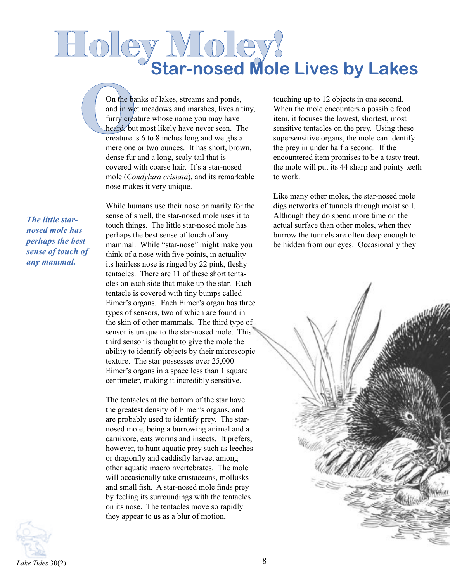# Holey Moley! **Star-nosed Mole Lives by Lakes**

On the ba<br>
and in we<br>
furry crea<br>
heard, bu<br>
creature i<br>
mere one On the banks of lakes, streams and ponds, and in wet meadows and marshes, lives a tiny, furry creature whose name you may have heard, but most likely have never seen. The creature is 6 to 8 inches long and weighs a mere one or two ounces. It has short, brown, dense fur and a long, scaly tail that is covered with coarse hair. It's a star-nosed mole (*Condylura cristata*), and its remarkable nose makes it very unique.

*The little starnosed mole has perhaps the best sense of touch of any mammal.*

While humans use their nose primarily for the sense of smell, the star-nosed mole uses it to touch things. The little star-nosed mole has perhaps the best sense of touch of any mammal. While "star-nose" might make you think of a nose with five points, in actuality its hairless nose is ringed by 22 pink, fleshy tentacles. There are 11 of these short tentacles on each side that make up the star. Each tentacle is covered with tiny bumps called Eimer's organs. Each Eimer's organ has three types of sensors, two of which are found in the skin of other mammals. The third type of sensor is unique to the star-nosed mole. This third sensor is thought to give the mole the ability to identify objects by their microscopic texture. The star possesses over 25,000 Eimer's organs in a space less than 1 square centimeter, making it incredibly sensitive.

The tentacles at the bottom of the star have the greatest density of Eimer's organs, and are probably used to identify prey. The starnosed mole, being a burrowing animal and a carnivore, eats worms and insects. It prefers, however, to hunt aquatic prey such as leeches or dragonfly and caddisfly larvae, among other aquatic macroinvertebrates. The mole will occasionally take crustaceans, mollusks and small fish. A star-nosed mole finds prey by feeling its surroundings with the tentacles on its nose. The tentacles move so rapidly they appear to us as a blur of motion,

touching up to 12 objects in one second. When the mole encounters a possible food item, it focuses the lowest, shortest, most sensitive tentacles on the prey. Using these supersensitive organs, the mole can identify the prey in under half a second. If the encountered item promises to be a tasty treat, the mole will put its 44 sharp and pointy teeth to work.

Like many other moles, the star-nosed mole digs networks of tunnels through moist soil. Although they do spend more time on the actual surface than other moles, when they burrow the tunnels are often deep enough to be hidden from our eyes. Occasionally they



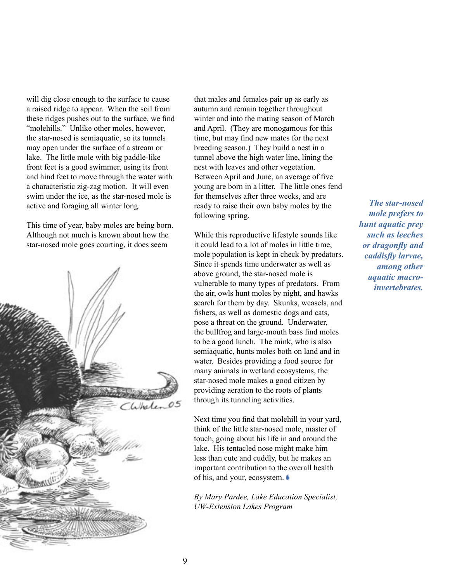will dig close enough to the surface to cause a raised ridge to appear. When the soil from these ridges pushes out to the surface, we find "molehills." Unlike other moles, however, the star-nosed is semiaquatic, so its tunnels may open under the surface of a stream or lake. The little mole with big paddle-like front feet is a good swimmer, using its front and hind feet to move through the water with a characteristic zig-zag motion. It will even swim under the ice, as the star-nosed mole is active and foraging all winter long.

This time of year, baby moles are being born. Although not much is known about how the star-nosed mole goes courting, it does seem



that males and females pair up as early as autumn and remain together throughout winter and into the mating season of March and April. (They are monogamous for this time, but may find new mates for the next breeding season.) They build a nest in a tunnel above the high water line, lining the nest with leaves and other vegetation. Between April and June, an average of five young are born in a litter. The little ones fend for themselves after three weeks, and are ready to raise their own baby moles by the following spring.

While this reproductive lifestyle sounds like it could lead to a lot of moles in little time, mole population is kept in check by predators. Since it spends time underwater as well as above ground, the star-nosed mole is vulnerable to many types of predators. From the air, owls hunt moles by night, and hawks search for them by day. Skunks, weasels, and fishers, as well as domestic dogs and cats, pose a threat on the ground. Underwater, the bullfrog and large-mouth bass find moles to be a good lunch. The mink, who is also semiaquatic, hunts moles both on land and in water. Besides providing a food source for many animals in wetland ecosystems, the star-nosed mole makes a good citizen by providing aeration to the roots of plants through its tunneling activities.

Next time you find that molehill in your yard, think of the little star-nosed mole, master of touch, going about his life in and around the lake. His tentacled nose might make him less than cute and cuddly, but he makes an important contribution to the overall health of his, and your, ecosystem.

*By Mary Pardee, Lake Education Specialist, UW-Extension Lakes Program*

*The star-nosed mole prefers to hunt aquatic prey such as leeches or dragonfly and caddisfly larvae, among other aquatic macroinvertebrates.*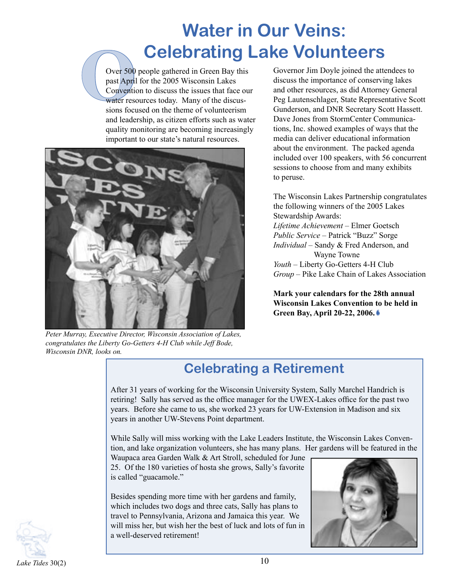## **Water in Our Veins:**

**Celebrating Lake Volunteers**<br>
Over 500 people gathered in Green Bay this Governor Jim Doyle joined the atte<br>
past April for the 2005 Wisconsin Lakes<br>
Convention to discuss the issues that face our and other resources, as past April for the 2005 Wisconsin Lakes Convention to discuss the issues that face our water resources today. Many of the discussions focused on the theme of volunteerism and leadership, as citizen efforts such as water quality monitoring are becoming increasingly important to our state's natural resources.



*Peter Murray, Executive Director, Wisconsin Association of Lakes, congratulates the Liberty Go-Getters 4-H Club while Jeff Bode, Wisconsin DNR, looks on.*

Governor Jim Doyle joined the attendees to discuss the importance of conserving lakes and other resources, as did Attorney General Peg Lautenschlager, State Representative Scott Gunderson, and DNR Secretary Scott Hassett. Dave Jones from StormCenter Communications, Inc. showed examples of ways that the media can deliver educational information about the environment. The packed agenda included over 100 speakers, with 56 concurrent sessions to choose from and many exhibits to peruse.

The Wisconsin Lakes Partnership congratulates the following winners of the 2005 Lakes Stewardship Awards: *Lifetime Achievement* – Elmer Goetsch *Public Service* – Patrick "Buzz" Sorge *Individual* – Sandy & Fred Anderson, and Wayne Towne *Youth* – Liberty Go-Getters 4-H Club *Group* – Pike Lake Chain of Lakes Association

**Mark your calendars for the 28th annual Wisconsin Lakes Convention to be held in Green Bay, April 20-22, 2006.**

## **Celebrating a Retirement**

After 31 years of working for the Wisconsin University System, Sally Marchel Handrich is retiring! Sally has served as the office manager for the UWEX-Lakes office for the past two years. Before she came to us, she worked 23 years for UW-Extension in Madison and six years in another UW-Stevens Point department.

While Sally will miss working with the Lake Leaders Institute, the Wisconsin Lakes Convention, and lake organization volunteers, she has many plans. Her gardens will be featured in the

Waupaca area Garden Walk & Art Stroll, scheduled for June 25. Of the 180 varieties of hosta she grows, Sally's favorite is called "guacamole."

Besides spending more time with her gardens and family, which includes two dogs and three cats, Sally has plans to travel to Pennsylvania, Arizona and Jamaica this year. We will miss her, but wish her the best of luck and lots of fun in a well-deserved retirement!



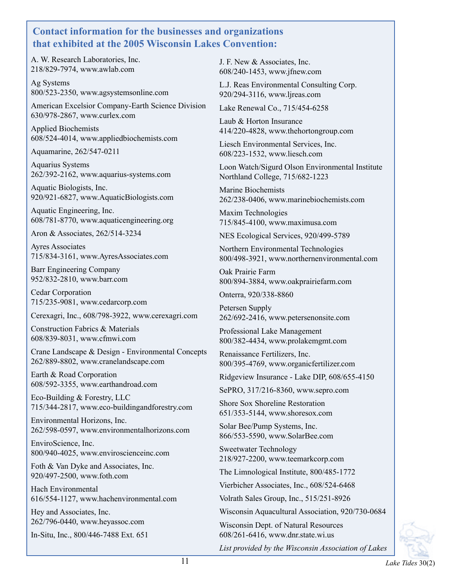#### **Contact information for the businesses and organizations that exhibited at the 2005 Wisconsin Lakes Convention:**

A. W. Research Laboratories, Inc. 218/829-7974, www.awlab.com

Ag Systems 800/523-2350, www.agsystemsonline.com

American Excelsior Company-Earth Science Division 630/978-2867, www.curlex.com

Applied Biochemists 608/524-4014, www.appliedbiochemists.com

Aquamarine, 262/547-0211

Aquarius Systems 262/392-2162, www.aquarius-systems.com

Aquatic Biologists, Inc. 920/921-6827, www.AquaticBiologists.com

Aquatic Engineering, Inc. 608/781-8770, www.aquaticengineering.org

Aron & Associates, 262/514-3234

Ayres Associates 715/834-3161, www.AyresAssociates.com

Barr Engineering Company 952/832-2810, www.barr.com

Cedar Corporation 715/235-9081, www.cedarcorp.com

Cerexagri, Inc., 608/798-3922, www.cerexagri.com

Construction Fabrics & Materials 608/839-8031, www.cfmwi.com

Crane Landscape & Design - Environmental Concepts 262/889-8802, www.cranelandscape.com

Earth & Road Corporation 608/592-3355, www.earthandroad.com

Eco-Building & Forestry, LLC 715/344-2817, www.eco-buildingandforestry.com

Environmental Horizons, Inc. 262/598-0597, www.environmentalhorizons.com

EnviroScience, Inc. 800/940-4025, www.enviroscienceinc.com

Foth & Van Dyke and Associates, Inc. 920/497-2500, www.foth.com

Hach Environmental 616/554-1127, www.hachenvironmental.com

Hey and Associates, Inc. 262/796-0440, www.heyassoc.com

In-Situ, Inc., 800/446-7488 Ext. 651

J. F. New & Associates, Inc. 608/240-1453, www.jfnew.com

L.J. Reas Environmental Consulting Corp. 920/294-3116, www.ljreas.com

Lake Renewal Co., 715/454-6258

Laub & Horton Insurance 414/220-4828, www.thehortongroup.com

Liesch Environmental Services, Inc. 608/223-1532, www.liesch.com

Loon Watch/Sigurd Olson Environmental Institute Northland College, 715/682-1223

Marine Biochemists 262/238-0406, www.marinebiochemists.com

Maxim Technologies 715/845-4100, www.maximusa.com

NES Ecological Services, 920/499-5789

Northern Environmental Technologies 800/498-3921, www.northernenvironmental.com

Oak Prairie Farm 800/894-3884, www.oakprairiefarm.com

Onterra, 920/338-8860

Petersen Supply 262/692-2416, www.petersenonsite.com

Professional Lake Management 800/382-4434, www.prolakemgmt.com

Renaissance Fertilizers, Inc. 800/395-4769, www.organicfertilizer.com

Ridgeview Insurance - Lake DIP, 608/655-4150

SePRO, 317/216-8360, www.sepro.com

Shore Sox Shoreline Restoration 651/353-5144, www.shoresox.com

Solar Bee/Pump Systems, Inc. 866/553-5590, www.SolarBee.com

Sweetwater Technology 218/927-2200, www.teemarkcorp.com

The Limnological Institute, 800/485-1772

Vierbicher Associates, Inc., 608/524-6468

Volrath Sales Group, Inc., 515/251-8926

Wisconsin Aquacultural Association, 920/730-0684

Wisconsin Dept. of Natural Resources 608/261-6416, www.dnr.state.wi.us

*List provided by the Wisconsin Association of Lakes*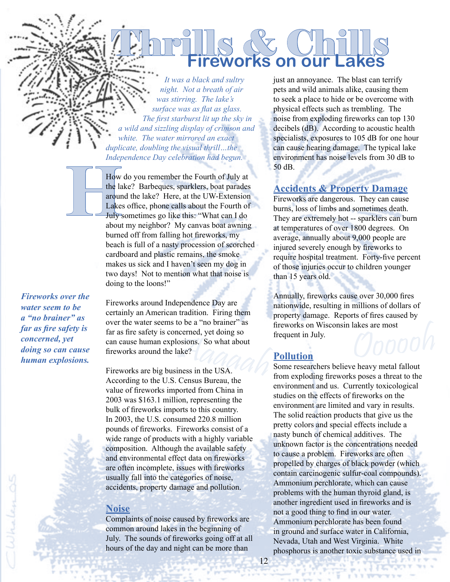*It was a black and sultry night. Not a breath of air was stirring. The lake's surface was as flat as glass. The first starburst lit up the sky in a wild and sizzling display of crimson and white. The water mirrored an exact duplicate, doubling the visual thrill…the Independence Day celebration had begun.* 

Thrills & Chills

**Fireworks on our Lakes**

How<br>the la<br>dought the la<br>Lake<br>July:<br>about How do you remember the Fourth of July at the lake? Barbeques, sparklers, boat parades around the lake? Here, at the UW-Extension Lakes office, phone calls about the Fourth of July sometimes go like this: "What can I do about my neighbor? My canvas boat awning burned off from falling hot fireworks, my beach is full of a nasty procession of scorched cardboard and plastic remains, the smoke makes us sick and I haven't seen my dog in two days! Not to mention what that noise is doing to the loons!"

*Fireworks over the water seem to be a "no brainer" as far as fire safety is concerned, yet doing so can cause human explosions.*

Fireworks are big business in the USA.<br>Fireworks around the lake?<br>Fireworks are big business in the USA. Fireworks around Independence Day are certainly an American tradition. Firing them over the water seems to be a "no brainer" as far as fire safety is concerned, yet doing so fireworks around the lake?

Fireworks are big business in the USA. According to the U.S. Census Bureau, the value of fireworks imported from China in 2003 was \$163.1 million, representing the bulk of fireworks imports to this country. In 2003, the U.S. consumed 220.8 million pounds of fireworks. Fireworks consist of a wide range of products with a highly variable composition. Although the available safety and environmental effect data on fireworks are often incomplete, issues with fireworks usually fall into the categories of noise, accidents, property damage and pollution.

#### **Noise**

Complaints of noise caused by fireworks are common around lakes in the beginning of July. The sounds of fireworks going off at all hours of the day and night can be more than

just an annoyance. The blast can terrify pets and wild animals alike, causing them to seek a place to hide or be overcome with physical effects such as trembling. The noise from exploding fireworks can top 130 decibels (dB). According to acoustic health specialists, exposures to 105 dB for one hour can cause hearing damage. The typical lake environment has noise levels from 30 dB to 50 dB.

#### **Accidents & Property Damage**

Fireworks are dangerous. They can cause burns, loss of limbs and sometimes death. They are extremely hot -- sparklers can burn at temperatures of over 1800 degrees. On average, annually about 9,000 people are injured severely enough by fireworks to require hospital treatment. Forty-five percent of those injuries occur to children younger than 15 years old.

fireworks on Wisconsin lakes are most<br>frequent in July.<br>**Pollution**<br>Some researchers believe heavy metal fallout<br>from exploding frequents poses a threat to the Annually, fireworks cause over 30,000 fires nationwide, resulting in millions of dollars of property damage. Reports of fires caused by fireworks on Wisconsin lakes are most frequent in July.

#### **Pollution**

from exploding fireworks poses a threat to the environment and us. Currently toxicological studies on the effects of fireworks on the environment are limited and vary in results. The solid reaction products that give us the pretty colors and special effects include a nasty bunch of chemical additives. The unknown factor is the concentrations needed to cause a problem. Fireworks are often propelled by charges of black powder (which contain carcinogenic sulfur-coal compounds). Ammonium perchlorate, which can cause problems with the human thyroid gland, is another ingredient used in fireworks and is not a good thing to find in our water. Ammonium perchlorate has been found in ground and surface water in California, Nevada, Utah and West Virginia. White phosphorus is another toxic substance used in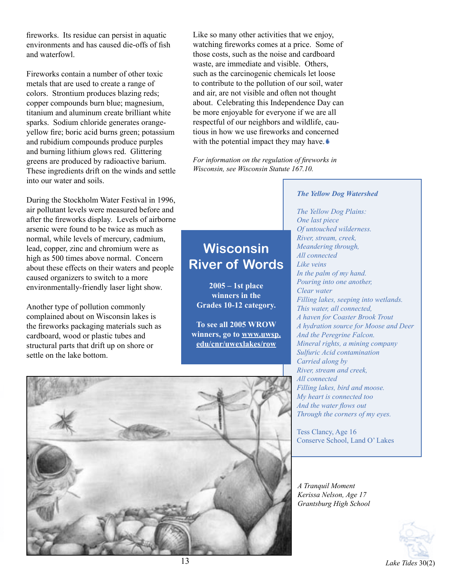fireworks. Its residue can persist in aquatic environments and has caused die-offs of fish and waterfowl.

Fireworks contain a number of other toxic metals that are used to create a range of colors. Strontium produces blazing reds; copper compounds burn blue; magnesium, titanium and aluminum create brilliant white sparks. Sodium chloride generates orangeyellow fire; boric acid burns green; potassium and rubidium compounds produce purples and burning lithium glows red. Glittering greens are produced by radioactive barium. These ingredients drift on the winds and settle into our water and soils.

During the Stockholm Water Festival in 1996, air pollutant levels were measured before and after the fireworks display. Levels of airborne arsenic were found to be twice as much as normal, while levels of mercury, cadmium, lead, copper, zinc and chromium were as high as 500 times above normal. Concern about these effects on their waters and people caused organizers to switch to a more environmentally-friendly laser light show.

Another type of pollution commonly complained about on Wisconsin lakes is the fireworks packaging materials such as cardboard, wood or plastic tubes and structural parts that drift up on shore or settle on the lake bottom.

Like so many other activities that we enjoy, watching fireworks comes at a price. Some of those costs, such as the noise and cardboard waste, are immediate and visible. Others, such as the carcinogenic chemicals let loose to contribute to the pollution of our soil, water and air, are not visible and often not thought about. Celebrating this Independence Day can be more enjoyable for everyone if we are all respectful of our neighbors and wildlife, cautious in how we use fireworks and concerned with the potential impact they may have.

*For information on the regulation of fireworks in Wisconsin, see Wisconsin Statute 167.10.*

#### *The Yellow Dog Watershed*

## **Wisconsin River of Words**

**2005 – 1st place winners in the Grades 10-12 category.** 

**To see all 2005 WROW winners, go to www.uwsp. edu/cnr/uwexlakes/row**

*The Yellow Dog Plains: One last piece Of untouched wilderness. River, stream, creek, Meandering through, All connected Like veins In the palm of my hand. Pouring into one another, Clear water Filling lakes, seeping into wetlands. This water, all connected, A haven for Coaster Brook Trout A hydration source for Moose and Deer And the Peregrine Falcon. Mineral rights, a mining company Sulfuric Acid contamination Carried along by River, stream and creek, All connected Filling lakes, bird and moose. My heart is connected too And the water flows out Through the corners of my eyes.*

Tess Clancy, Age 16 Conserve School, Land O' Lakes

*A Tranquil Moment Kerissa Nelson, Age 17 Grantsburg High School*



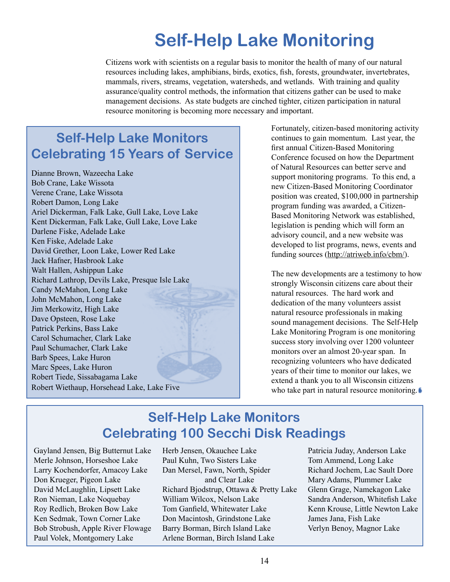## **Self-Help Lake Monitoring**

Citizens work with scientists on a regular basis to monitor the health of many of our natural resources including lakes, amphibians, birds, exotics, fish, forests, groundwater, invertebrates, mammals, rivers, streams, vegetation, watersheds, and wetlands. With training and quality assurance/quality control methods, the information that citizens gather can be used to make management decisions. As state budgets are cinched tighter, citizen participation in natural resource monitoring is becoming more necessary and important.

## **Self-Help Lake Monitors Celebrating 15 Years of Service**

Dianne Brown, Wazeecha Lake Bob Crane, Lake Wissota Verene Crane, Lake Wissota Robert Damon, Long Lake Ariel Dickerman, Falk Lake, Gull Lake, Love Lake Kent Dickerman, Falk Lake, Gull Lake, Love Lake Darlene Fiske, Adelade Lake Ken Fiske, Adelade Lake David Grether, Loon Lake, Lower Red Lake Jack Hafner, Hasbrook Lake Walt Hallen, Ashippun Lake Richard Lathrop, Devils Lake, Presque Isle Lake Candy McMahon, Long Lake John McMahon, Long Lake Jim Merkowitz, High Lake Dave Opsteen, Rose Lake Patrick Perkins, Bass Lake Carol Schumacher, Clark Lake Paul Schumacher, Clark Lake Barb Spees, Lake Huron Marc Spees, Lake Huron Robert Tiede, Sissabagama Lake Robert Wiethaup, Horsehead Lake, Lake Five

Fortunately, citizen-based monitoring activity continues to gain momentum. Last year, the first annual Citizen-Based Monitoring Conference focused on how the Department of Natural Resources can better serve and support monitoring programs. To this end, a new Citizen-Based Monitoring Coordinator position was created, \$100,000 in partnership program funding was awarded, a Citizen-Based Monitoring Network was established, legislation is pending which will form an advisory council, and a new website was developed to list programs, news, events and funding sources (http://atriweb.info/cbm/).

The new developments are a testimony to how strongly Wisconsin citizens care about their natural resources. The hard work and dedication of the many volunteers assist natural resource professionals in making sound management decisions. The Self-Help Lake Monitoring Program is one monitoring success story involving over 1200 volunteer monitors over an almost 20-year span. In recognizing volunteers who have dedicated years of their time to monitor our lakes, we extend a thank you to all Wisconsin citizens who take part in natural resource monitoring.

### **Self-Help Lake Monitors Celebrating 100 Secchi Disk Readings**

Gayland Jensen, Big Butternut Lake Merle Johnson, Horseshoe Lake Larry Kochendorfer, Amacoy Lake Don Krueger, Pigeon Lake David McLaughlin, Lipsett Lake Ron Nieman, Lake Noquebay Roy Redlich, Broken Bow Lake Ken Sedmak, Town Corner Lake Bob Strobush, Apple River Flowage Paul Volek, Montgomery Lake

Herb Jensen, Okauchee Lake Paul Kuhn, Two Sisters Lake Dan Mersel, Fawn, North, Spider and Clear Lake Richard Bjodstrup, Ottawa & Pretty Lake William Wilcox, Nelson Lake Tom Ganfield, Whitewater Lake Don Macintosh, Grindstone Lake Barry Borman, Birch Island Lake Arlene Borman, Birch Island Lake

Patricia Juday, Anderson Lake Tom Ammend, Long Lake Richard Jochem, Lac Sault Dore Mary Adams, Plummer Lake Glenn Grage, Namekagon Lake Sandra Anderson, Whitefish Lake Kenn Krouse, Little Newton Lake James Jana, Fish Lake Verlyn Benoy, Magnor Lake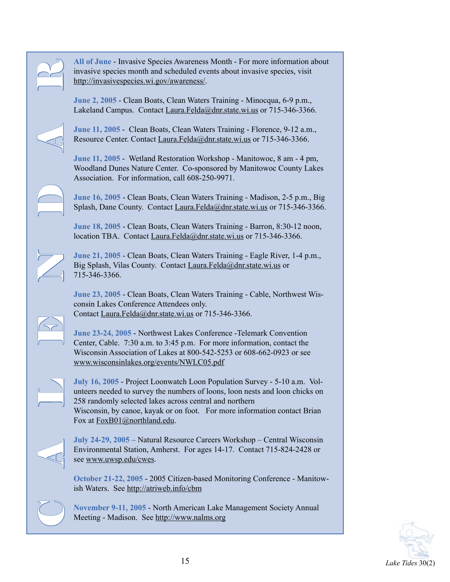

invasive species month and scheduled events about invasive species, visit http://invasivespecies.wi.gov/awareness/.

**June 2, 2005** - Clean Boats, Clean Waters Training - Minocqua, 6-9 p.m., Lakeland Campus. Contact Laura.Felda@dnr.state.wi.us or 715-346-3366.

**June 11, 2005** - Clean Boats, Clean Waters Training - Florence, 9-12 a.m., Resource Center. Contact Laura.Felda@dnr.state.wi.us or 715-346-3366.

**June 11, 2005** - Wetland Restoration Workshop - Manitowoc, 8 am - 4 pm, Woodland Dunes Nature Center. Co-sponsored by Manitowoc County Lakes Association. For information, call 608-250-9971.

**June 16, 2005** - Clean Boats, Clean Waters Training - Madison, 2-5 p.m., Big Splash, Dane County. Contact Laura.Felda@dnr.state.wi.us or 715-346-3366.

**June 18, 2005** - Clean Boats, Clean Waters Training - Barron, 8:30-12 noon, location TBA. Contact Laura.Felda@dnr.state.wi.us or 715-346-3366.

**June 21, 2005** - Clean Boats, Clean Waters Training - Eagle River, 1-4 p.m., Big Splash, Vilas County. Contact Laura.Felda@dnr.state.wi.us or 715-346-3366.

**June 23, 2005** - Clean Boats, Clean Waters Training - Cable, Northwest Wisconsin Lakes Conference Attendees only. Contact Laura.Felda@dnr.state.wi.us or 715-346-3366.

**June 23-24, 2005** - Northwest Lakes Conference -Telemark Convention Center, Cable. 7:30 a.m. to 3:45 p.m. For more information, contact the Wisconsin Association of Lakes at 800-542-5253 or 608-662-0923 or see www.wisconsinlakes.org/events/NWLC05.pdf

All of June - Invasive Species Awareness Month - For more information about<br>
Imagive species Awareness Magnitude devents about invasive species, visit<br>
Interaction about Consent Matter, Clean Waters Training - Mirocequa, 6 **July 16, 2005** - Project Loonwatch Loon Population Survey - 5-10 a.m. Volunteers needed to survey the numbers of loons, loon nests and loon chicks on 258 randomly selected lakes across central and northern Wisconsin, by canoe, kayak or on foot. For more information contact Brian Fox at FoxB01@northland.edu.



**July 24-29, 2005** – Natural Resource Careers Workshop – Central Wisconsin Environmental Station, Amherst. For ages 14-17. Contact 715-824-2428 or see www.uwsp.edu/cwes.

**October 21-22, 2005** - 2005 Citizen-based Monitoring Conference - Manitowish Waters. See http://atriweb.info/cbm

**November 9-11, 2005** - North American Lake Management Society Annual Meeting - Madison. See http://www.nalms.org